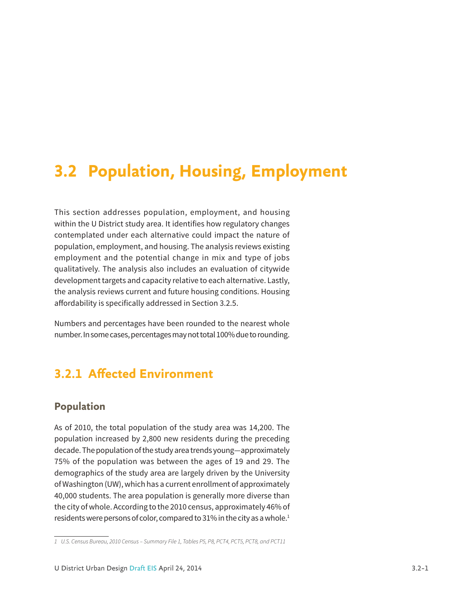# **3.2 Population, Housing, Employment**

This section addresses population, employment, and housing within the U District study area. It identifies how regulatory changes contemplated under each alternative could impact the nature of population, employment, and housing. The analysis reviews existing employment and the potential change in mix and type of jobs qualitatively. The analysis also includes an evaluation of citywide development targets and capacity relative to each alternative. Lastly, the analysis reviews current and future housing conditions. Housing affordability is specifically addressed in Section 3.2.5.

Numbers and percentages have been rounded to the nearest whole number. In some cases, percentages may not total 100% due to rounding.

## **3.2.1 Affected Environment**

### **Population**

As of 2010, the total population of the study area was 14,200. The population increased by 2,800 new residents during the preceding decade. The population of the study area trends young—approximately 75% of the population was between the ages of 19 and 29. The demographics of the study area are largely driven by the University of Washington (UW), which has a current enrollment of approximately 40,000 students. The area population is generally more diverse than the city of whole. According to the 2010 census, approximately 46% of residents were persons of color, compared to 31% in the city as a whole.<sup>1</sup>

*<sup>1</sup> U.S. Census Bureau, 2010 Census – Summary File 1, Tables P5, P8, PCT4, PCT5, PCT8, and PCT11*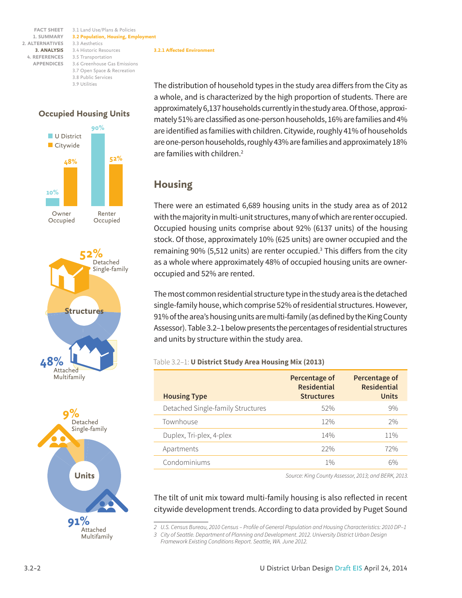3.1 Land Use/Plans & Policies **FACT SHEET 3.2 Population, Housing, Employment** 3.3 Aesthetics 3.4 Historic Resources **3. ANALYSIS** 3.5 Transportation **4. REFERENCES** 3.6 Greenhouse Gas Emissions 3.7 Open Space & Recreation 3.8 Public Services 3.9 Utilities







**3.2.1 Affected Environment**

The distribution of household types in the study area differs from the City as a whole, and is characterized by the high proportion of students. There are approximately 6,137 households currently in the study area. Of those, approximately 51% are classified as one-person households, 16% are families and 4% are identified as families with children. Citywide, roughly 41% of households are one-person households, roughly 43% are families and approximately 18% are families with children.<sup>2</sup>

### **Housing**

There were an estimated 6,689 housing units in the study area as of 2012 with the majority in multi-unit structures, many of which are renter occupied. Occupied housing units comprise about 92% (6137 units) of the housing stock. Of those, approximately 10% (625 units) are owner occupied and the remaining 90% (5,512 units) are renter occupied.<sup>3</sup> This differs from the city as a whole where approximately 48% of occupied housing units are owneroccupied and 52% are rented.

The most common residential structure type in the study area is the detached single-family house, which comprise 52% of residential structures. However, 91% of the area's housing units are multi-family (as defined by the King County Assessor). Table 3.2–1 below presents the percentages of residential structures and units by structure within the study area.

### Table 3.2–1: **U District Study Area Housing Mix (2013)**

| <b>Housing Type</b>               | Percentage of<br><b>Residential</b><br><b>Structures</b> | Percentage of<br><b>Residential</b><br>Units |
|-----------------------------------|----------------------------------------------------------|----------------------------------------------|
| Detached Single-family Structures | 52%                                                      | 9%                                           |
| Townhouse                         | 12%                                                      | 2%                                           |
| Duplex, Tri-plex, 4-plex          | 14%                                                      | 11%                                          |
| Apartments                        | 22%                                                      | 72%                                          |
| Condominiums                      | $1\%$                                                    | 6%                                           |

*Source: King County Assessor, 2013; and BERK, 2013.*

The tilt of unit mix toward multi-family housing is also reflected in recent citywide development trends. According to data provided by Puget Sound

*2 U.S. Census Bureau, 2010 Census – Profile of General Population and Housing Characteristics: 2010 DP–1*

*3 City of Seattle. Department of Planning and Development. 2012. University District Urban Design* 

*Framework Existing Conditions Report. Seattle, WA. June 2012.*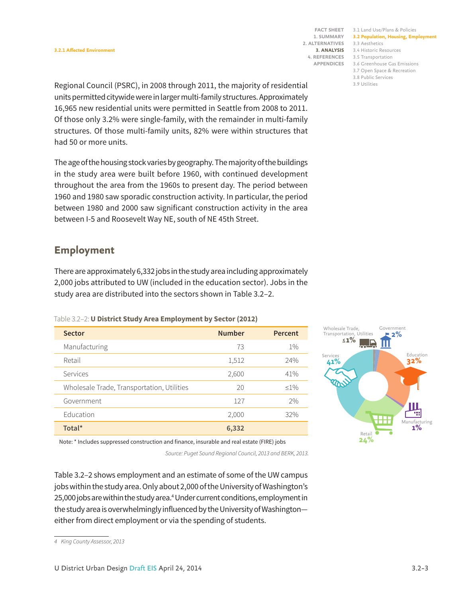3.1 Land Use/Plans & Policies **FACT SHEET 3.2 Population, Housing, Employment** 3.3 Aesthetics 3.4 Historic Resources **3. ANALYSIS** 3.5 Transportation **4. REFERENCES** 3.6 Greenhouse Gas Emissions 3.7 Open Space & Recreation

3.8 Public Services

3.9 Utilities

Regional Council (PSRC), in 2008 through 2011, the majority of residential units permitted citywide were in larger multi-family structures. Approximately 16,965 new residential units were permitted in Seattle from 2008 to 2011. Of those only 3.2% were single-family, with the remainder in multi-family structures. Of those multi-family units, 82% were within structures that had 50 or more units.

The age of the housing stock varies by geography. The majority of the buildings in the study area were built before 1960, with continued development throughout the area from the 1960s to present day. The period between 1960 and 1980 saw sporadic construction activity. In particular, the period between 1980 and 2000 saw significant construction activity in the area between I-5 and Roosevelt Way NE, south of NE 45th Street.

### **Employment**

There are approximately 6,332 jobs in the study area including approximately 2,000 jobs attributed to UW (included in the education sector). Jobs in the study area are distributed into the sectors shown in Table 3.2–2.

| <b>Sector</b>                              | <b>Number</b> | Percent |
|--------------------------------------------|---------------|---------|
| Manufacturing                              | 73            | $1\%$   |
| Retail                                     | 1,512         | 24%     |
| Services                                   | 2,600         | 41%     |
| Wholesale Trade, Transportation, Utilities | 20            | $<1\%$  |
| Government                                 | 127           | 2%      |
| Education                                  | 2,000         | 32%     |
| Total*                                     | 6,332         |         |



Note: \* Includes suppressed construction and finance, insurable and real estate (FIRE) jobs

*Source: Puget Sound Regional Council, 2013 and BERK, 2013.*

Table 3.2–2 shows employment and an estimate of some of the UW campus jobs within the study area. Only about 2,000 of the University of Washington's 25,000 jobs are within the study area.<sup>4</sup> Under current conditions, employment in the study area is overwhelmingly influenced by the University of Washington either from direct employment or via the spending of students.

*<sup>4</sup> King County Assessor, 2013*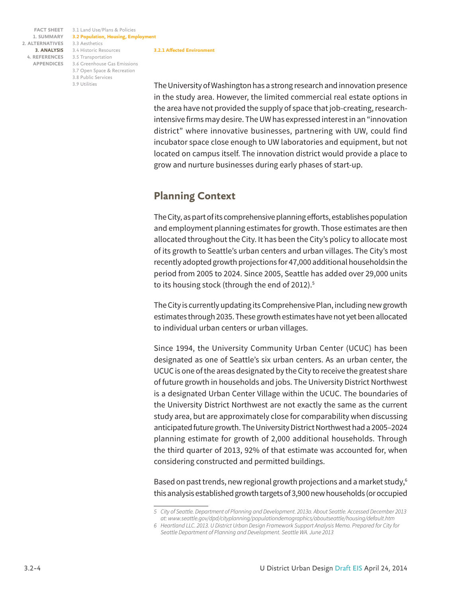3.1 Land Use/Plans & Policies **FACT SHEET 3.2 Population, Housing, Employment** 3.3 Aesthetics 3.4 Historic Resources **3. ANALYSIS** 3.5 Transportation **4. REFERENCES** 3.6 Greenhouse Gas Emissions 3.7 Open Space & Recreation 3.8 Public Services 3.9 Utilities **3.2.1 Affected Environment**

The University of Washington has a strong research and innovation presence in the study area. However, the limited commercial real estate options in the area have not provided the supply of space that job-creating, researchintensive firms may desire. The UW has expressed interest in an "innovation district" where innovative businesses, partnering with UW, could find incubator space close enough to UW laboratories and equipment, but not located on campus itself. The innovation district would provide a place to grow and nurture businesses during early phases of start-up.

## **Planning Context**

The City, as part of its comprehensive planning efforts, establishes population and employment planning estimates for growth. Those estimates are then allocated throughout the City. It has been the City's policy to allocate most of its growth to Seattle's urban centers and urban villages. The City's most recently adopted growth projections for 47,000 additional householdsin the period from 2005 to 2024. Since 2005, Seattle has added over 29,000 units to its housing stock (through the end of 2012).<sup>5</sup>

The City is currently updating its Comprehensive Plan, including new growth estimates through 2035. These growth estimates have not yet been allocated to individual urban centers or urban villages.

Since 1994, the University Community Urban Center (UCUC) has been designated as one of Seattle's six urban centers. As an urban center, the UCUC is one of the areas designated by the City to receive the greatest share of future growth in households and jobs. The University District Northwest is a designated Urban Center Village within the UCUC. The boundaries of the University District Northwest are not exactly the same as the current study area, but are approximately close for comparability when discussing anticipated future growth. The University District Northwest had a 2005–2024 planning estimate for growth of 2,000 additional households. Through the third quarter of 2013, 92% of that estimate was accounted for, when considering constructed and permitted buildings.

Based on past trends, new regional growth projections and a market study,<sup>6</sup> this analysis established growth targets of 3,900 new households (or occupied

*<sup>5</sup> City of Seattle. Department of Planning and Development. 2013a. About Seattle. Accessed December 2013 at: www.seattle.gov/dpd/cityplanning/populationdemographics/aboutseattle/housing/default.htm*

*<sup>6</sup> Heartland LLC. 2013. U District Urban Design Framework Support Analysis Memo. Prepared for City for Seattle Department of Planning and Development. Seattle WA. June 2013*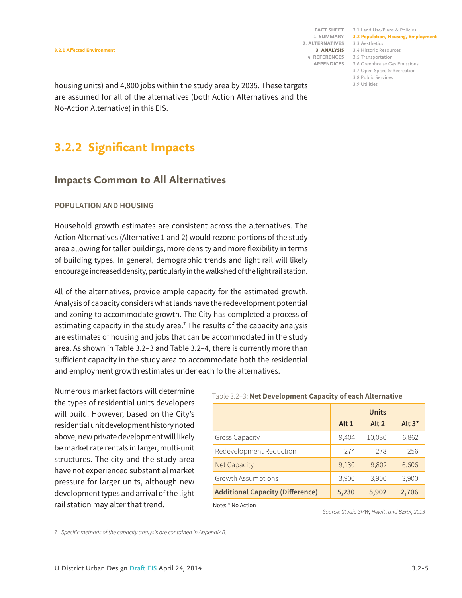3.1 Land Use/Plans & Policies **FACT SHEET 3.2 Population, Housing, Employment** 3.3 Aesthetics 3.4 Historic Resources **3. ANALYSIS** 3.5 Transportation **4. REFERENCES** 3.6 Greenhouse Gas Emissions 3.7 Open Space & Recreation 3.8 Public Services 3.9 Utilities

housing units) and 4,800 jobs within the study area by 2035. These targets are assumed for all of the alternatives (both Action Alternatives and the No-Action Alternative) in this EIS.

## **3.2.2 Significant Impacts**

### **Impacts Common to All Alternatives**

### **POPULATION AND HOUSING**

Household growth estimates are consistent across the alternatives. The Action Alternatives (Alternative 1 and 2) would rezone portions of the study area allowing for taller buildings, more density and more flexibility in terms of building types. In general, demographic trends and light rail will likely encourage increased density, particularly in the walkshed of the light rail station.

All of the alternatives, provide ample capacity for the estimated growth. Analysis of capacity considers what lands have the redevelopment potential and zoning to accommodate growth. The City has completed a process of estimating capacity in the study area.<sup>7</sup> The results of the capacity analysis are estimates of housing and jobs that can be accommodated in the study area. As shown in Table 3.2–3 and Table 3.2–4, there is currently more than sufficient capacity in the study area to accommodate both the residential and employment growth estimates under each fo the alternatives.

Numerous market factors will determine the types of residential units developers will build. However, based on the City's residential unit development history noted above, new private development will likely be market rate rentals in larger, multi-unit structures. The city and the study area have not experienced substantial market pressure for larger units, although new development types and arrival of the light rail station may alter that trend.

### Table 3.2–3: **Net Development Capacity of each Alternative**

|                                         |                  | <b>Units</b>     |          |
|-----------------------------------------|------------------|------------------|----------|
|                                         | Alt <sub>1</sub> | Alt <sub>2</sub> | Alt $3*$ |
| <b>Gross Capacity</b>                   | 9,404            | 10,080           | 6,862    |
| Redevelopment Reduction                 | 274              | 278              | 256      |
| <b>Net Capacity</b>                     | 9,130            | 9,802            | 6,606    |
| Growth Assumptions                      | 3,900            | 3,900            | 3,900    |
| <b>Additional Capacity (Difference)</b> | 5,230            | 5,902            | 2,706    |

Note: \* No Action

*Source: Studio 3MW, Hewitt and BERK, 2013*

*<sup>7</sup> Specific methods of the capacity analysis are contained in Appendix B.*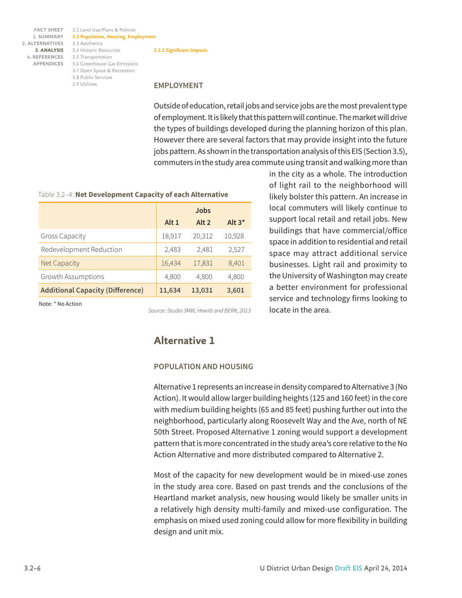3.1 Land Use/Plans & Policies **FACT SHEET 3.2 Population, Housing, Employment** 3.3 Aesthetics 3.4 Historic Resources **3. ANALYSIS** 3.5 Transportation **4. REFERENCES** 3.6 Greenhouse Gas Emissions **APPENDICES** 3.7 Open Space & Recreation 3.8 Public Services 3.9 Utilities **3.2.2 Significant Impacts**

#### **EMPLOYMENT**

Outside of education, retail jobs and service jobs are the most prevalent type of employment. It is likely that this pattern will continue. The market will drive the types of buildings developed during the planning horizon of this plan. However there are several factors that may provide insight into the future jobs pattern. As shown in the transportation analysis of this EIS (Section 3.5), commuters in the study area commute using transit and walking more than

#### Table 3.2–4: **Net Development Capacity of each Alternative**

|                                         | Jobs   |         |           |
|-----------------------------------------|--------|---------|-----------|
|                                         | Alt 1  | Alt $2$ | Alt $3^*$ |
| <b>Gross Capacity</b>                   | 18,917 | 20,312  | 10,928    |
| Redevelopment Reduction                 | 2,483  | 2.481   | 2,527     |
| Net Capacity                            | 16,434 | 17,831  | 8,401     |
| Growth Assumptions                      | 4,800  | 4,800   | 4,800     |
| <b>Additional Capacity (Difference)</b> | 11,634 | 13,031  | 3,601     |

Note: \* No Action

*Source: Studio 3MW, Hewitt and BERK, 2013*

### **Alternative 1**

#### **POPULATION AND HOUSING**

Alternative 1 represents an increase in density compared to Alternative 3 (No Action). It would allow larger building heights (125 and 160 feet) in the core with medium building heights (65 and 85 feet) pushing further out into the neighborhood, particularly along Roosevelt Way and the Ave, north of NE 50th Street. Proposed Alternative 1 zoning would support a development pattern that is more concentrated in the study area's core relative to the No Action Alternative and more distributed compared to Alternative 2.

Most of the capacity for new development would be in mixed-use zones in the study area core. Based on past trends and the conclusions of the Heartland market analysis, new housing would likely be smaller units in a relatively high density multi-family and mixed-use configuration. The emphasis on mixed used zoning could allow for more flexibility in building design and unit mix.

in the city as a whole. The introduction of light rail to the neighborhood will likely bolster this pattern. An increase in local commuters will likely continue to support local retail and retail jobs. New buildings that have commercial/office space in addition to residential and retail space may attract additional service businesses. Light rail and proximity to the University of Washington may create a better environment for professional service and technology firms looking to locate in the area.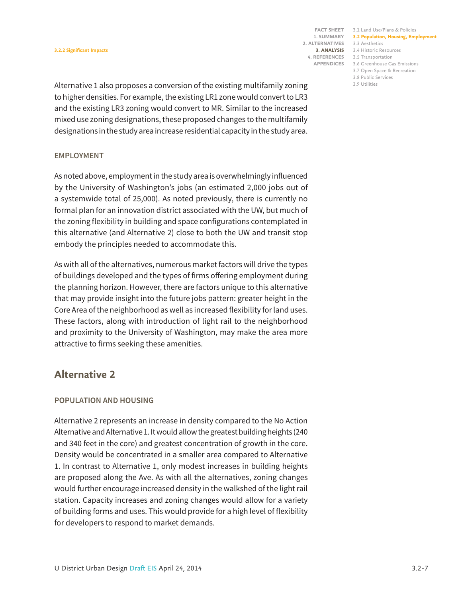3.1 Land Use/Plans & Policies **FACT SHEET 3.2 Population, Housing, Employment** 3.3 Aesthetics 3.4 Historic Resources **3. ANALYSIS** 3.5 Transportation **4. REFERENCES**

3.6 Greenhouse Gas Emissions

3.7 Open Space & Recreation 3.8 Public Services

3.9 Utilities

Alternative 1 also proposes a conversion of the existing multifamily zoning to higher densities. For example, the existing LR1 zone would convert to LR3 and the existing LR3 zoning would convert to MR. Similar to the increased mixed use zoning designations, these proposed changes to the multifamily designations in the study area increase residential capacity in the study area.

### **EMPLOYMENT**

As noted above, employment in the study area is overwhelmingly influenced by the University of Washington's jobs (an estimated 2,000 jobs out of a systemwide total of 25,000). As noted previously, there is currently no formal plan for an innovation district associated with the UW, but much of the zoning flexibility in building and space configurations contemplated in this alternative (and Alternative 2) close to both the UW and transit stop embody the principles needed to accommodate this.

As with all of the alternatives, numerous market factors will drive the types of buildings developed and the types of firms offering employment during the planning horizon. However, there are factors unique to this alternative that may provide insight into the future jobs pattern: greater height in the Core Area of the neighborhood as well as increased flexibility for land uses. These factors, along with introduction of light rail to the neighborhood and proximity to the University of Washington, may make the area more attractive to firms seeking these amenities.

### **Alternative 2**

### **POPULATION AND HOUSING**

Alternative 2 represents an increase in density compared to the No Action Alternative and Alternative 1. It would allow the greatest building heights (240 and 340 feet in the core) and greatest concentration of growth in the core. Density would be concentrated in a smaller area compared to Alternative 1. In contrast to Alternative 1, only modest increases in building heights are proposed along the Ave. As with all the alternatives, zoning changes would further encourage increased density in the walkshed of the light rail station. Capacity increases and zoning changes would allow for a variety of building forms and uses. This would provide for a high level of flexibility for developers to respond to market demands.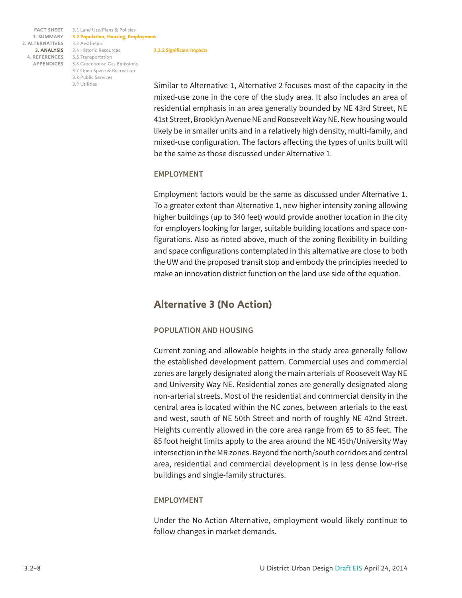3.1 Land Use/Plans & Policies **FACT SHEET 3.2 Population, Housing, Employment** 3.3 Aesthetics 3.4 Historic Resources **3. ANALYSIS** 3.5 Transportation **4. REFERENCES** 3.6 Greenhouse Gas Emissions **APPENDICES** 3.7 Open Space & Recreation 3.8 Public Services 3.9 Utilities **3.2.2 Significant Impacts**

Similar to Alternative 1, Alternative 2 focuses most of the capacity in the mixed-use zone in the core of the study area. It also includes an area of residential emphasis in an area generally bounded by NE 43rd Street, NE 41st Street, Brooklyn Avenue NE and Roosevelt Way NE. New housing would likely be in smaller units and in a relatively high density, multi-family, and mixed-use configuration. The factors affecting the types of units built will be the same as those discussed under Alternative 1.

### **EMPLOYMENT**

Employment factors would be the same as discussed under Alternative 1. To a greater extent than Alternative 1, new higher intensity zoning allowing higher buildings (up to 340 feet) would provide another location in the city for employers looking for larger, suitable building locations and space configurations. Also as noted above, much of the zoning flexibility in building and space configurations contemplated in this alternative are close to both the UW and the proposed transit stop and embody the principles needed to make an innovation district function on the land use side of the equation.

### **Alternative 3 (No Action)**

### **POPULATION AND HOUSING**

Current zoning and allowable heights in the study area generally follow the established development pattern. Commercial uses and commercial zones are largely designated along the main arterials of Roosevelt Way NE and University Way NE. Residential zones are generally designated along non-arterial streets. Most of the residential and commercial density in the central area is located within the NC zones, between arterials to the east and west, south of NE 50th Street and north of roughly NE 42nd Street. Heights currently allowed in the core area range from 65 to 85 feet. The 85 foot height limits apply to the area around the NE 45th/University Way intersection in the MR zones. Beyond the north/south corridors and central area, residential and commercial development is in less dense low-rise buildings and single-family structures.

### **EMPLOYMENT**

Under the No Action Alternative, employment would likely continue to follow changes in market demands.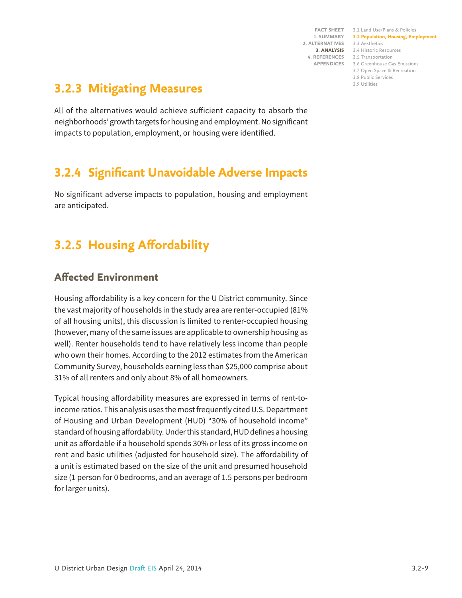3.1 Land Use/Plans & Policies **FACT SHEET 3.2 Population, Housing, Employment** 3.3 Aesthetics 3.4 Historic Resources **3. ANALYSIS** 3.5 Transportation **4. REFERENCES** 3.6 Greenhouse Gas Emissions 3.7 Open Space & Recreation 3.8 Public Services 3.9 Utilities

## **3.2.3 Mitigating Measures**

All of the alternatives would achieve sufficient capacity to absorb the neighborhoods' growth targets for housing and employment. No significant impacts to population, employment, or housing were identified.

# **3.2.4 Significant Unavoidable Adverse Impacts**

No significant adverse impacts to population, housing and employment are anticipated.

# **3.2.5 Housing Affordability**

## **Affected Environment**

Housing affordability is a key concern for the U District community. Since the vast majority of households in the study area are renter-occupied (81% of all housing units), this discussion is limited to renter-occupied housing (however, many of the same issues are applicable to ownership housing as well). Renter households tend to have relatively less income than people who own their homes. According to the 2012 estimates from the American Community Survey, households earning less than \$25,000 comprise about 31% of all renters and only about 8% of all homeowners.

Typical housing affordability measures are expressed in terms of rent-toincome ratios. This analysis uses the most frequently cited U.S. Department of Housing and Urban Development (HUD) "30% of household income" standard of housing affordability. Under this standard, HUD defines a housing unit as affordable if a household spends 30% or less of its gross income on rent and basic utilities (adjusted for household size). The affordability of a unit is estimated based on the size of the unit and presumed household size (1 person for 0 bedrooms, and an average of 1.5 persons per bedroom for larger units).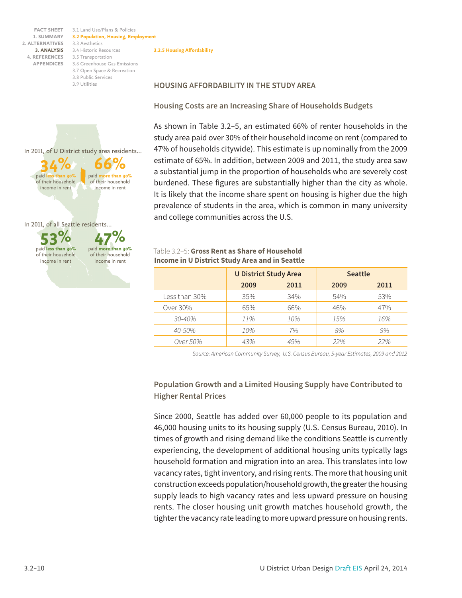> **53%** paid **less than 30%** of their household income in rent

In 2011, of all Seattle residents...

**34%**

In 2011, of U District study area residents...

of their household income in rent

paid **l** 

3.1 Land Use/Plans & Policies **FACT SHEET 3.2 Population, Housing, Employment** 3.3 Aesthetics 3.4 Historic Resources **3. ANALYSIS** 3.5 Transportation **4. REFERENCES** 3.6 Greenhouse Gas Emissions 3.7 Open Space & Recreation 3.8 Public Services 3.9 Utilities

> **47%** paid **more than 30%** of their household income in rent

**66%** paid **more than 30%** of their household income in rent

#### **3.2.5 Housing Affordability**

#### **HOUSING AFFORDABILITY IN THE STUDY AREA**

**Housing Costs are an Increasing Share of Households Budgets**

As shown in Table 3.2–5, an estimated 66% of renter households in the study area paid over 30% of their household income on rent (compared to 47% of households citywide). This estimate is up nominally from the 2009 estimate of 65%. In addition, between 2009 and 2011, the study area saw a substantial jump in the proportion of households who are severely cost burdened. These figures are substantially higher than the city as whole. It is likely that the income share spent on housing is higher due the high prevalence of students in the area, which is common in many university and college communities across the U.S.

### Table 3.2–5: **Gross Rent as Share of Household Income in U District Study Area and in Seattle**

|                 | <b>U District Study Area</b> |      | <b>Seattle</b> |      |
|-----------------|------------------------------|------|----------------|------|
|                 | 2009                         | 2011 | 2009           | 2011 |
| Less than 30%   | 35%                          | 34%  | 54%            | 53%  |
| Over 30%        | 65%                          | 66%  | 46%            | 47%  |
| $30 - 40%$      | 11%                          | 10%  | 15%            | 16%  |
| $40 - 50\%$     | 10%                          | 7%   | 8%             | 9%   |
| <i>Over</i> 50% | 43%                          | 49%  | 22%            | 22%  |

*Source: American Community Survey, U.S. Census Bureau, 5-year Estimates, 2009 and 2012*

### **Population Growth and a Limited Housing Supply have Contributed to Higher Rental Prices**

Since 2000, Seattle has added over 60,000 people to its population and 46,000 housing units to its housing supply (U.S. Census Bureau, 2010). In times of growth and rising demand like the conditions Seattle is currently experiencing, the development of additional housing units typically lags household formation and migration into an area. This translates into low vacancy rates, tight inventory, and rising rents. The more that housing unit construction exceeds population/household growth, the greater the housing supply leads to high vacancy rates and less upward pressure on housing rents. The closer housing unit growth matches household growth, the tighter the vacancy rate leading to more upward pressure on housing rents.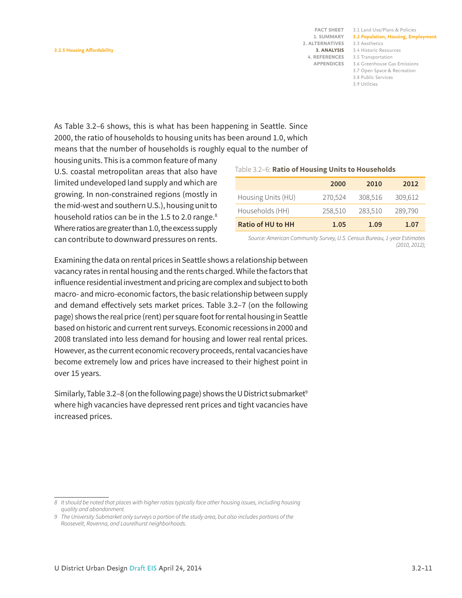3.1 Land Use/Plans & Policies **FACT SHEET 3.2 Population, Housing, Employment** 3.3 Aesthetics 3.4 Historic Resources **3. ANALYSIS** 3.5 Transportation **4. REFERENCES** 3.6 Greenhouse Gas Emissions 3.7 Open Space & Recreation 3.8 Public Services 3.9 Utilities

As Table 3.2–6 shows, this is what has been happening in Seattle. Since 2000, the ratio of households to housing units has been around 1.0, which means that the number of households is roughly equal to the number of

housing units. This is a common feature of many U.S. coastal metropolitan areas that also have limited undeveloped land supply and which are growing. In non-constrained regions (mostly in the mid-west and southern U.S.), housing unit to household ratios can be in the 1.5 to 2.0 range.<sup>8</sup> Where ratios are greater than 1.0, the excess supply can contribute to downward pressures on rents.

#### Table 3.2–6: **Ratio of Housing Units to Households**

|                          | 2000    | 2010    | 2012    |
|--------------------------|---------|---------|---------|
| Housing Units (HU)       | 270,524 | 308,516 | 309,612 |
| Households (HH)          | 258,510 | 283,510 | 289,790 |
| <b>Ratio of HU to HH</b> | 1.05    | 1.09    | 1.07    |

*Source: American Community Survey, U.S. Census Bureau, 1-year Estimates (2010, 2012);*

Examining the data on rental prices in Seattle shows a relationship between vacancy rates in rental housing and the rents charged. While the factors that influence residential investment and pricing are complex and subject to both macro- and micro-economic factors, the basic relationship between supply and demand effectively sets market prices. Table 3.2–7 (on the following page) shows the real price (rent) per square foot for rental housing in Seattle based on historic and current rent surveys. Economic recessions in 2000 and 2008 translated into less demand for housing and lower real rental prices. However, as the current economic recovery proceeds, rental vacancies have become extremely low and prices have increased to their highest point in over 15 years.

Similarly, Table 3.2–8 (on the following page) shows the U District submarket<sup>9</sup> where high vacancies have depressed rent prices and tight vacancies have increased prices.

*<sup>8</sup> It should be noted that places with higher ratios typically face other housing issues, including housing quality and abandonment.*

*<sup>9</sup> The University Submarket only surveys a portion of the study area, but also includes portions of the Roosevelt, Ravenna, and Laurelhurst neighborhoods.*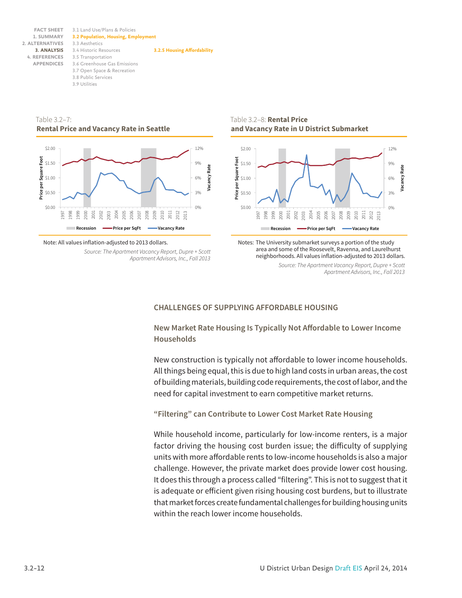3.1 Land Use/Plans & Policies **3.2 Population, Housing, Employment** 3.3 Aesthetics 3.4 Historic Resources **3. ANALYSIS** 3.5 Transportation **4. REFERENCES** 3.6 Greenhouse Gas Emissions 3.7 Open Space & Recreation 3.8 Public Services 3.9 Utilities **FACT SHEET 1. SUMMARY 2. ALTERNATIVES APPENDICES 3.2.5 Housing Affordability**

Table 3.2–7: **Rental Price and Vacancy Rate in Seattle**



Note: All values inflation-adjusted to 2013 dollars.

*Source: The Apartment Vacancy Report, Dupre + Scott Apartment Advisors, Inc., Fall 2013*

Table 3.2–8: **Rental Price and Vacancy Rate in U District Submarket**



Notes: The University submarket surveys a portion of the study area and some of the Roosevelt, Ravenna, and Laurelhurst neighborhoods. All values inflation-adjusted to 2013 dollars.

*Source: The Apartment Vacancy Report, Dupre + Scott Apartment Advisors, Inc., Fall 2013*

### **CHALLENGES OF SUPPLYING AFFORDABLE HOUSING**

**New Market Rate Housing Is Typically Not Affordable to Lower Income Households**

New construction is typically not affordable to lower income households. All things being equal, this is due to high land costs in urban areas, the cost of building materials, building code requirements, the cost of labor, and the need for capital investment to earn competitive market returns.

**"Filtering" can Contribute to Lower Cost Market Rate Housing**

While household income, particularly for low-income renters, is a major factor driving the housing cost burden issue; the difficulty of supplying units with more affordable rents to low-income households is also a major challenge. However, the private market does provide lower cost housing. It does this through a process called "filtering". This is not to suggest that it is adequate or efficient given rising housing cost burdens, but to illustrate that market forces create fundamental challenges for building housing units within the reach lower income households.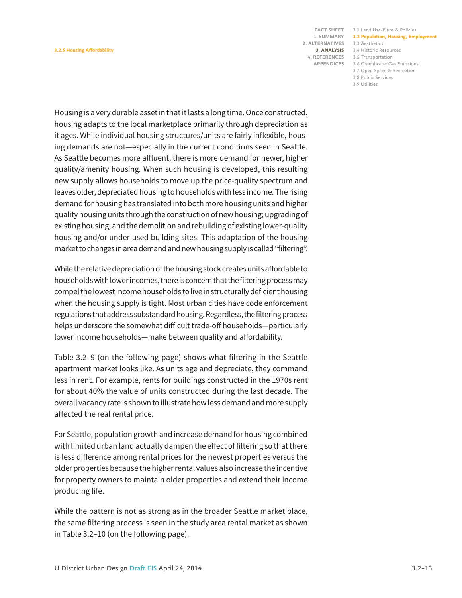3.1 Land Use/Plans & Policies **FACT SHEET 3.2 Population, Housing, Employment** 3.3 Aesthetics 3.4 Historic Resources **3. ANALYSIS** 3.5 Transportation **4. REFERENCES**

3.6 Greenhouse Gas Emissions

3.7 Open Space & Recreation 3.8 Public Services

3.9 Utilities

Housing is a very durable asset in that it lasts a long time. Once constructed, housing adapts to the local marketplace primarily through depreciation as it ages. While individual housing structures/units are fairly inflexible, housing demands are not—especially in the current conditions seen in Seattle. As Seattle becomes more affluent, there is more demand for newer, higher quality/amenity housing. When such housing is developed, this resulting new supply allows households to move up the price-quality spectrum and leaves older, depreciated housing to households with less income. The rising demand for housing has translated into both more housing units and higher quality housing units through the construction of new housing; upgrading of existing housing; and the demolition and rebuilding of existing lower-quality housing and/or under-used building sites. This adaptation of the housing market to changes in area demand and new housing supply is called "filtering".

While the relative depreciation of the housing stock creates units affordable to households with lower incomes, there is concern that the filtering process may compel the lowest income households to live in structurally deficient housing when the housing supply is tight. Most urban cities have code enforcement regulations that address substandard housing. Regardless, the filtering process helps underscore the somewhat difficult trade-off households—particularly lower income households—make between quality and affordability.

Table 3.2–9 (on the following page) shows what filtering in the Seattle apartment market looks like. As units age and depreciate, they command less in rent. For example, rents for buildings constructed in the 1970s rent for about 40% the value of units constructed during the last decade. The overall vacancy rate is shown to illustrate how less demand and more supply affected the real rental price.

For Seattle, population growth and increase demand for housing combined with limited urban land actually dampen the effect of filtering so that there is less difference among rental prices for the newest properties versus the older properties because the higher rental values also increase the incentive for property owners to maintain older properties and extend their income producing life.

While the pattern is not as strong as in the broader Seattle market place, the same filtering process is seen in the study area rental market as shown in Table 3.2–10 (on the following page).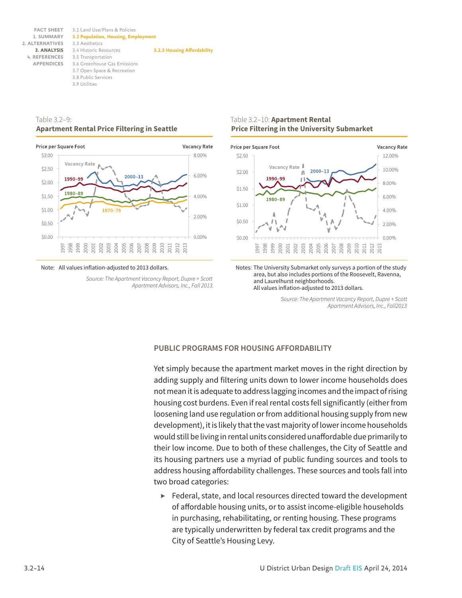3.1 Land Use/Plans & Policies **3.2 Population, Housing, Employment** 3.3 Aesthetics 3.4 Historic Resources **3. ANALYSIS** 3.5 Transportation **4. REFERENCES** 3.6 Greenhouse Gas Emissions 3.7 Open Space & Recreation 3.8 Public Services 3.9 Utilities **FACT SHEET 1. SUMMARY 2. ALTERNATIVES APPENDICES 3.2.5 Housing Affordability**

#### Table 3.2–9: **Apartment Rental Price Filtering in Seattle**



Note: All values inflation-adjusted to 2013 dollars.

*Source: The Apartment Vacancy Report, Dupre + Scott Apartment Advisors, Inc., Fall 2013.*

### Table 3.2–10: **Apartment Rental Price Filtering in the University Submarket**



Notes: The University Submarket only surveys a portion of the study area, but also includes portions of the Roosevelt, Ravenna, and Laurelhurst neighborhoods. All values inflation-adjusted to 2013 dollars.

> *Source: The Apartment Vacancy Report, Dupre + Scott Apartment Advisors, Inc., Fall2013*

### **PUBLIC PROGRAMS FOR HOUSING AFFORDABILITY**

Yet simply because the apartment market moves in the right direction by adding supply and filtering units down to lower income households does not mean it is adequate to address lagging incomes and the impact of rising housing cost burdens. Even if real rental costs fell significantly (either from loosening land use regulation or from additional housing supply from new development), it is likely that the vast majority of lower income households would still be living in rental units considered unaffordable due primarily to their low income. Due to both of these challenges, the City of Seattle and its housing partners use a myriad of public funding sources and tools to address housing affordability challenges. These sources and tools fall into two broad categories:

*▶* Federal, state, and local resources directed toward the development of affordable housing units, or to assist income-eligible households in purchasing, rehabilitating, or renting housing. These programs are typically underwritten by federal tax credit programs and the City of Seattle's Housing Levy.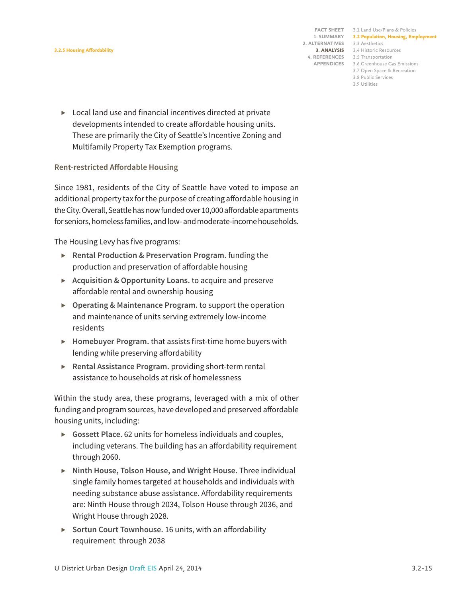#### **3.2.5 Housing Affordability**

**1. SUMMARY 2. ALTERNATIVES**

3.1 Land Use/Plans & Policies **FACT SHEET 3.2 Population, Housing, Employment** 3.3 Aesthetics 3.4 Historic Resources **3. ANALYSIS** 3.5 Transportation **4. REFERENCES** 3.6 Greenhouse Gas Emissions **APPENDICES**

- 3.7 Open Space & Recreation 3.8 Public Services
- 3.9 Utilities

*▶* Local land use and financial incentives directed at private developments intended to create affordable housing units. These are primarily the City of Seattle's Incentive Zoning and Multifamily Property Tax Exemption programs.

### **Rent-restricted Affordable Housing**

Since 1981, residents of the City of Seattle have voted to impose an additional property tax for the purpose of creating affordable housing in the City. Overall, Seattle has now funded over 10,000 affordable apartments for seniors, homeless families, and low- and moderate-income households.

The Housing Levy has five programs:

- *▶* **Rental Production & Preservation Program.** funding the production and preservation of affordable housing
- *▶* **Acquisition & Opportunity Loans.** to acquire and preserve affordable rental and ownership housing
- *▶* **Operating & Maintenance Program.** to support the operation and maintenance of units serving extremely low-income residents
- *▶* **Homebuyer Program.** that assists first-time home buyers with lending while preserving affordability
- *▶* **Rental Assistance Program.** providing short-term rental assistance to households at risk of homelessness

Within the study area, these programs, leveraged with a mix of other funding and program sources, have developed and preserved affordable housing units, including:

- *▶* **Gossett Place**. 62 units for homeless individuals and couples, including veterans. The building has an affordability requirement through 2060.
- *▶* **Ninth House, Tolson House, and Wright House.** Three individual single family homes targeted at households and individuals with needing substance abuse assistance. Affordability requirements are: Ninth House through 2034, Tolson House through 2036, and Wright House through 2028.
- *▶* **Sortun Court Townhouse.** 16 units, with an affordability requirement through 2038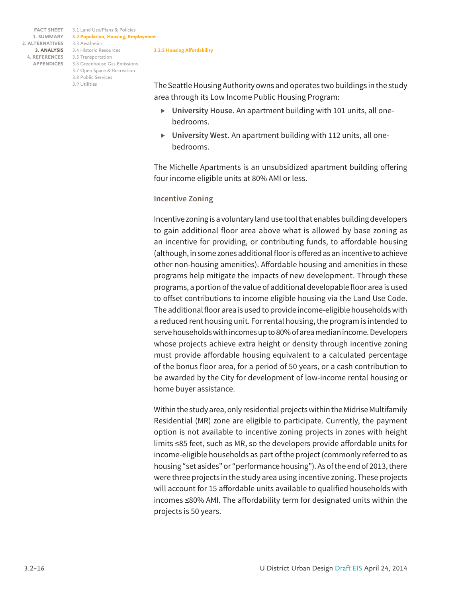3.1 Land Use/Plans & Policies **FACT SHEET 3.2 Population, Housing, Employment** 3.3 Aesthetics 3.4 Historic Resources **3. ANALYSIS** 3.5 Transportation **4. REFERENCES** 3.6 Greenhouse Gas Emissions **APPENDICES** 3.7 Open Space & Recreation 3.8 Public Services 3.9 Utilities

#### **3.2.5 Housing Affordability**

The Seattle Housing Authority owns and operates two buildings in the study area through its Low Income Public Housing Program:

- *▶* **University House.** An apartment building with 101 units, all onebedrooms.
- *▶* **University West.** An apartment building with 112 units, all onebedrooms.

The Michelle Apartments is an unsubsidized apartment building offering four income eligible units at 80% AMI or less.

#### **Incentive Zoning**

Incentive zoning is a voluntary land use tool that enables building developers to gain additional floor area above what is allowed by base zoning as an incentive for providing, or contributing funds, to affordable housing (although, in some zones additional floor is offered as an incentive to achieve other non-housing amenities). Affordable housing and amenities in these programs help mitigate the impacts of new development. Through these programs, a portion of the value of additional developable floor area is used to offset contributions to income eligible housing via the Land Use Code. The additional floor area is used to provide income-eligible households with a reduced rent housing unit. For rental housing, the program is intended to serve households with incomes up to 80% of area median income. Developers whose projects achieve extra height or density through incentive zoning must provide affordable housing equivalent to a calculated percentage of the bonus floor area, for a period of 50 years, or a cash contribution to be awarded by the City for development of low-income rental housing or home buyer assistance.

Within the study area, only residential projects within the Midrise Multifamily Residential (MR) zone are eligible to participate. Currently, the payment option is not available to incentive zoning projects in zones with height limits ≤85 feet, such as MR, so the developers provide affordable units for income-eligible households as part of the project (commonly referred to as housing "set asides" or "performance housing"). As of the end of 2013, there were three projects in the study area using incentive zoning. These projects will account for 15 affordable units available to qualified households with incomes ≤80% AMI. The affordability term for designated units within the projects is 50 years.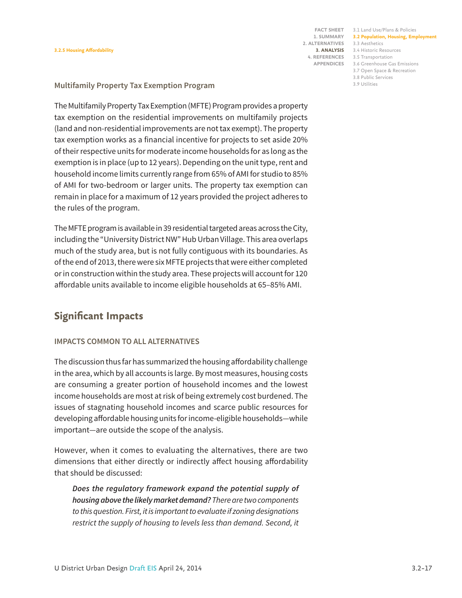3.1 Land Use/Plans & Policies **FACT SHEET 3.2 Population, Housing, Employment** 3.3 Aesthetics 3.4 Historic Resources **3. ANALYSIS** 3.5 Transportation **4. REFERENCES** 3.6 Greenhouse Gas Emissions 3.7 Open Space & Recreation

> 3.8 Public Services 3.9 Utilities

### **Multifamily Property Tax Exemption Program**

The Multifamily Property Tax Exemption (MFTE) Program provides a property tax exemption on the residential improvements on multifamily projects (land and non-residential improvements are not tax exempt). The property tax exemption works as a financial incentive for projects to set aside 20% of their respective units for moderate income households for as long as the exemption is in place (up to 12 years). Depending on the unit type, rent and household income limits currently range from 65% of AMI for studio to 85% of AMI for two-bedroom or larger units. The property tax exemption can remain in place for a maximum of 12 years provided the project adheres to the rules of the program.

The MFTE program is available in 39 residential targeted areas across the City, including the "University District NW" Hub Urban Village. This area overlaps much of the study area, but is not fully contiguous with its boundaries. As of the end of 2013, there were six MFTE projects that were either completed or in construction within the study area. These projects will account for 120 affordable units available to income eligible households at 65–85% AMI.

### **Significant Impacts**

### **IMPACTS COMMON TO ALL ALTERNATIVES**

The discussion thus far has summarized the housing affordability challenge in the area, which by all accounts is large. By most measures, housing costs are consuming a greater portion of household incomes and the lowest income households are most at risk of being extremely cost burdened. The issues of stagnating household incomes and scarce public resources for developing affordable housing units for income-eligible households—while important—are outside the scope of the analysis.

However, when it comes to evaluating the alternatives, there are two dimensions that either directly or indirectly affect housing affordability that should be discussed:

*Does the regulatory framework expand the potential supply of housing above the likely market demand? There are two components to this question. First, it is important to evaluate if zoning designations restrict the supply of housing to levels less than demand. Second, it*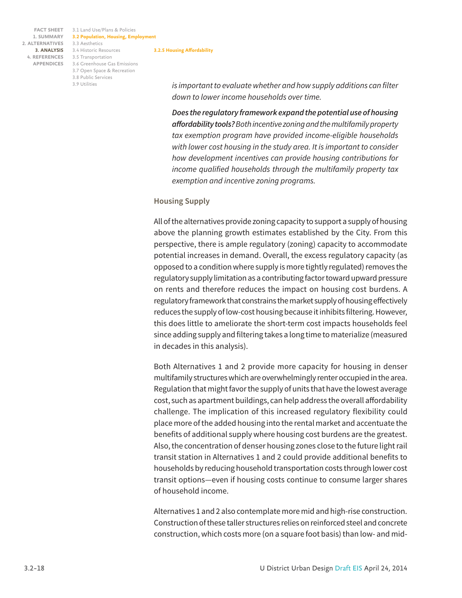3.1 Land Use/Plans & Policies **FACT SHEET 3.2 Population, Housing, Employment** 3.3 Aesthetics 3.4 Historic Resources **3. ANALYSIS** 3.5 Transportation **4. REFERENCES** 3.6 Greenhouse Gas Emissions **APPENDICES** 3.7 Open Space & Recreation 3.8 Public Services 3.9 Utilities **3.2.5 Housing Affordability**

*is important to evaluate whether and how supply additions can filter down to lower income households over time.*

*Does the regulatory framework expand the potential use of housing affordability tools? Both incentive zoning and the multifamily property tax exemption program have provided income-eligible households with lower cost housing in the study area. It is important to consider how development incentives can provide housing contributions for income qualified households through the multifamily property tax exemption and incentive zoning programs.*

### **Housing Supply**

All of the alternatives provide zoning capacity to support a supply of housing above the planning growth estimates established by the City. From this perspective, there is ample regulatory (zoning) capacity to accommodate potential increases in demand. Overall, the excess regulatory capacity (as opposed to a condition where supply is more tightly regulated) removes the regulatory supply limitation as a contributing factor toward upward pressure on rents and therefore reduces the impact on housing cost burdens. A regulatory framework that constrains the market supply of housing effectively reduces the supply of low-cost housing because it inhibits filtering. However, this does little to ameliorate the short-term cost impacts households feel since adding supply and filtering takes a long time to materialize (measured in decades in this analysis).

Both Alternatives 1 and 2 provide more capacity for housing in denser multifamily structures which are overwhelmingly renter occupied in the area. Regulation that might favor the supply of units that have the lowest average cost, such as apartment buildings, can help address the overall affordability challenge. The implication of this increased regulatory flexibility could place more of the added housing into the rental market and accentuate the benefits of additional supply where housing cost burdens are the greatest. Also, the concentration of denser housing zones close to the future light rail transit station in Alternatives 1 and 2 could provide additional benefits to households by reducing household transportation costs through lower cost transit options—even if housing costs continue to consume larger shares of household income.

Alternatives 1 and 2 also contemplate more mid and high-rise construction. Construction of these taller structures relies on reinforced steel and concrete construction, which costs more (on a square foot basis) than low- and mid-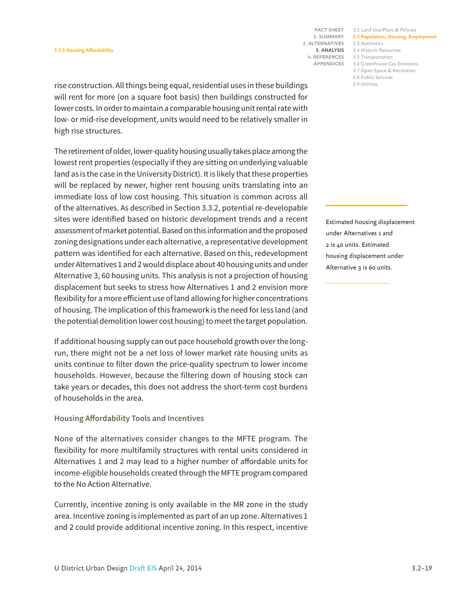3.1 Land Use/Plans & Policies **FACT SHEET 3.2 Population, Housing, Employment** 3.3 Aesthetics 3.4 Historic Resources **3. ANALYSIS** 3.5 Transportation **4. REFERENCES** 3.6 Greenhouse Gas Emissions

3.7 Open Space & Recreation

3.8 Public Services

3.9 Utilities

rise construction. All things being equal, residential uses in these buildings will rent for more (on a square foot basis) then buildings constructed for lower costs. In order to maintain a comparable housing unit rental rate with low- or mid-rise development, units would need to be relatively smaller in high rise structures.

The retirement of older, lower-quality housing usually takes place among the lowest rent properties (especially if they are sitting on underlying valuable land as is the case in the University District). It is likely that these properties will be replaced by newer, higher rent housing units translating into an immediate loss of low cost housing. This situation is common across all of the alternatives. As described in Section 3.3.2, potential re-developable sites were identified based on historic development trends and a recent assessment of market potential. Based on this information and the proposed zoning designations under each alternative, a representative development pattern was identified for each alternative. Based on this, redevelopment under Alternatives 1 and 2 would displace about 40 housing units and under Alternative 3, 60 housing units. This analysis is not a projection of housing displacement but seeks to stress how Alternatives 1 and 2 envision more flexibility for a more efficient use of land allowing for higher concentrations of housing. The implication of this framework is the need for less land (and the potential demolition lower cost housing) to meet the target population.

If additional housing supply can out pace household growth over the longrun, there might not be a net loss of lower market rate housing units as units continue to filter down the price-quality spectrum to lower income households. However, because the filtering down of housing stock can take years or decades, this does not address the short-term cost burdens of households in the area.

### **Housing Affordability Tools and Incentives**

None of the alternatives consider changes to the MFTE program. The flexibility for more multifamily structures with rental units considered in Alternatives 1 and 2 may lead to a higher number of affordable units for income-eligible households created through the MFTE program compared to the No Action Alternative.

Currently, incentive zoning is only available in the MR zone in the study area. Incentive zoning is implemented as part of an up zone. Alternatives 1 and 2 could provide additional incentive zoning. In this respect, incentive

Estimated housing displacement under Alternatives 1 and 2 is 40 units. Estimated housing displacement under Alternative 3 is 60 units.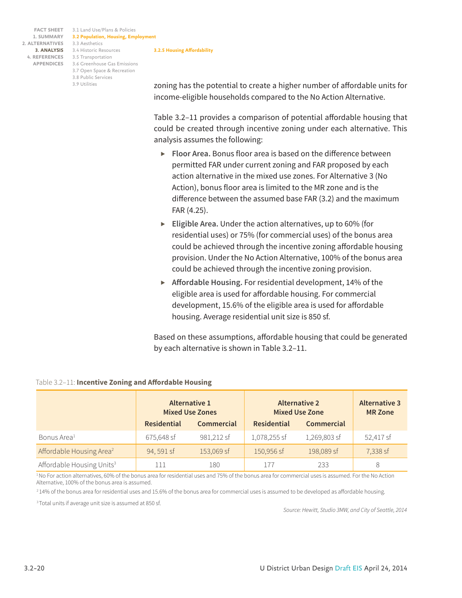3.1 Land Use/Plans & Policies **FACT SHEET 3.2 Population, Housing, Employment** 3.3 Aesthetics 3.4 Historic Resources **3. ANALYSIS** 3.5 Transportation **4. REFERENCES** 3.6 Greenhouse Gas Emissions **APPENDICES** 3.7 Open Space & Recreation 3.8 Public Services 3.9 Utilities **3.2.5 Housing Affordability**

zoning has the potential to create a higher number of affordable units for income-eligible households compared to the No Action Alternative.

Table 3.2–11 provides a comparison of potential affordable housing that could be created through incentive zoning under each alternative. This analysis assumes the following:

- *▶* **Floor Area.** Bonus floor area is based on the difference between permitted FAR under current zoning and FAR proposed by each action alternative in the mixed use zones. For Alternative 3 (No Action), bonus floor area is limited to the MR zone and is the difference between the assumed base FAR (3.2) and the maximum FAR (4.25).
- *▶* **Eligible Area.** Under the action alternatives, up to 60% (for residential uses) or 75% (for commercial uses) of the bonus area could be achieved through the incentive zoning affordable housing provision. Under the No Action Alternative, 100% of the bonus area could be achieved through the incentive zoning provision.
- *▶* **Affordable Housing.** For residential development, 14% of the eligible area is used for affordable housing. For commercial development, 15.6% of the eligible area is used for affordable housing. Average residential unit size is 850 sf.

Based on these assumptions, affordable housing that could be generated by each alternative is shown in Table 3.2–11.

|                                       | Alternative 1<br><b>Mixed Use Zones</b> |            | <b>Alternative 2</b><br><b>Mixed Use Zone</b> |              | <b>Alternative 3</b><br><b>MR Zone</b> |
|---------------------------------------|-----------------------------------------|------------|-----------------------------------------------|--------------|----------------------------------------|
|                                       | <b>Residential</b>                      | Commercial | <b>Residential</b>                            | Commercial   |                                        |
| Bonus Area <sup>1</sup>               | 675,648 sf                              | 981,212 sf | 1,078,255 sf                                  | 1,269,803 sf | 52,417 sf                              |
| Affordable Housing Area <sup>2</sup>  | 94, 591 sf                              | 153,069 sf | 150,956 sf                                    | 198,089 sf   | 7,338 sf                               |
| Affordable Housing Units <sup>3</sup> | l 11                                    | 180        | 177                                           | 233          | 8                                      |

### Table 3.2–11: **Incentive Zoning and Affordable Housing**

<sup>1</sup>No For action alternatives, 60% of the bonus area for residential uses and 75% of the bonus area for commercial uses is assumed. For the No Action Alternative, 100% of the bonus area is assumed.

<sup>2</sup> 14% of the bonus area for residential uses and 15.6% of the bonus area for commercial uses is assumed to be developed as affordable housing.

3 Total units if average unit size is assumed at 850 sf.

*Source: Hewitt, Studio 3MW, and City of Seattle, 2014*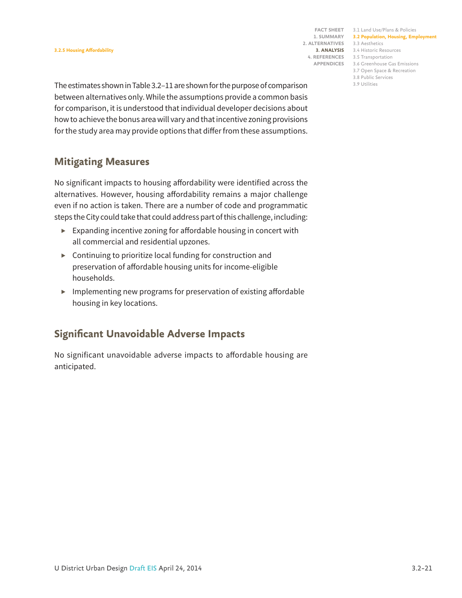3.1 Land Use/Plans & Policies **FACT SHEET 3.2 Population, Housing, Employment** 3.3 Aesthetics 3.4 Historic Resources **3. ANALYSIS** 3.5 Transportation **4. REFERENCES** 3.6 Greenhouse Gas Emissions **APPENDICES**

3.7 Open Space & Recreation

3.8 Public Services 3.9 Utilities

The estimates shown in Table 3.2–11 are shown for the purpose of comparison between alternatives only. While the assumptions provide a common basis for comparison, it is understood that individual developer decisions about how to achieve the bonus area will vary and that incentive zoning provisions for the study area may provide options that differ from these assumptions.

### **Mitigating Measures**

No significant impacts to housing affordability were identified across the alternatives. However, housing affordability remains a major challenge even if no action is taken. There are a number of code and programmatic steps the City could take that could address part of this challenge, including:

- *▶* Expanding incentive zoning for affordable housing in concert with all commercial and residential upzones.
- *▶* Continuing to prioritize local funding for construction and preservation of affordable housing units for income-eligible households.
- *▶* Implementing new programs for preservation of existing affordable housing in key locations.

## **Significant Unavoidable Adverse Impacts**

No significant unavoidable adverse impacts to affordable housing are anticipated.